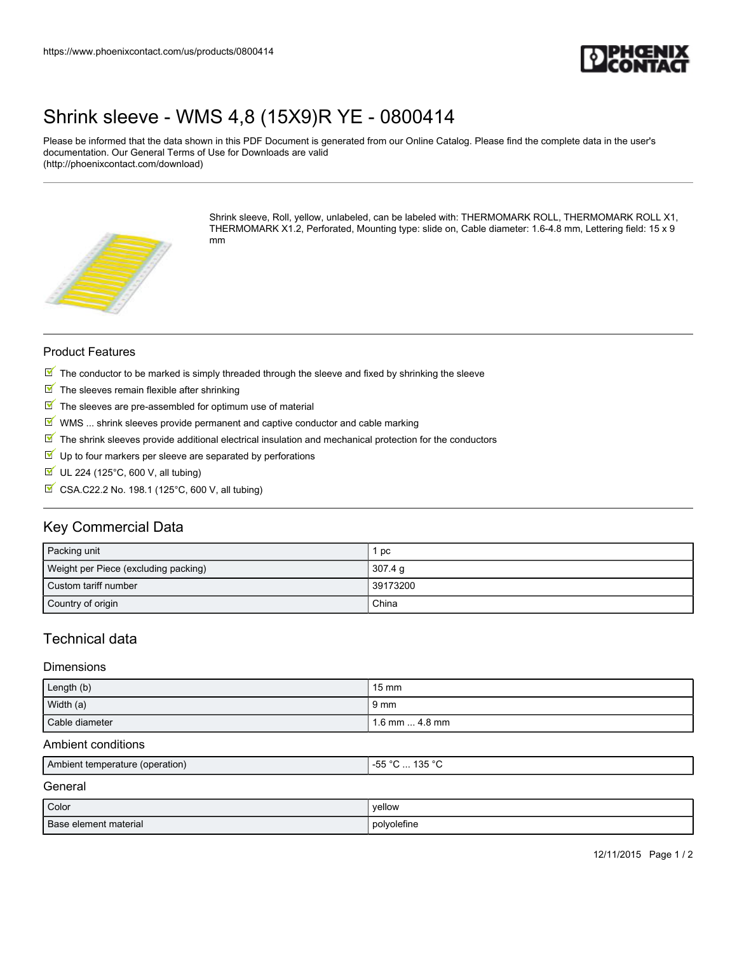

## [Shrink sleeve - WMS 4,8 \(15X9\)R YE - 0800414](https://www.phoenixcontact.com/us/products/0800414)

Please be informed that the data shown in this PDF Document is generated from our Online Catalog. Please find the complete data in the user's documentation. Our General Terms of Use for Downloads are valid (http://phoenixcontact.com/download)



Shrink sleeve, Roll, yellow, unlabeled, can be labeled with: THERMOMARK ROLL, THERMOMARK ROLL X1, THERMOMARK X1.2, Perforated, Mounting type: slide on, Cable diameter: 1.6-4.8 mm, Lettering field: 15 x 9 mm

#### Product Features

- $\mathbb N$  The conductor to be marked is simply threaded through the sleeve and fixed by shrinking the sleeve
- $\blacksquare$  The sleeves remain flexible after shrinking
- $\blacksquare$  The sleeves are pre-assembled for optimum use of material
- $\mathbb N$  WMS ... shrink sleeves provide permanent and captive conductor and cable marking
- $\mathbb F$  The shrink sleeves provide additional electrical insulation and mechanical protection for the conductors
- $\blacktriangledown$ Up to four markers per sleeve are separated by perforations
- $\blacksquare$  UL 224 (125°C, 600 V, all tubing)
- $\overline{\mathbb{M}}$  CSA.C22.2 No. 198.1 (125°C, 600 V, all tubing)

## Key Commercial Data

| Packing unit                         | pc       |
|--------------------------------------|----------|
| Weight per Piece (excluding packing) | 307.4 g  |
| Custom tariff number                 | 39173200 |
| Country of origin                    | China    |

## Technical data

#### **Dimensions**

| Length (b)     | $15 \text{ mm}$       |
|----------------|-----------------------|
| Width (a)      | 9 mm                  |
| Cable diameter | 1.6 mm $\dots$ 4.8 mm |

#### Ambient conditions

| LAmbient temperature (operation) | 125°<br>--<br>$\mathbf{h}$<br>טטי<br>. .<br>$\sim$ $\sim$ |
|----------------------------------|-----------------------------------------------------------|
|                                  |                                                           |

### General

| Color                 | vellow      |
|-----------------------|-------------|
| Base element material | polyolefine |